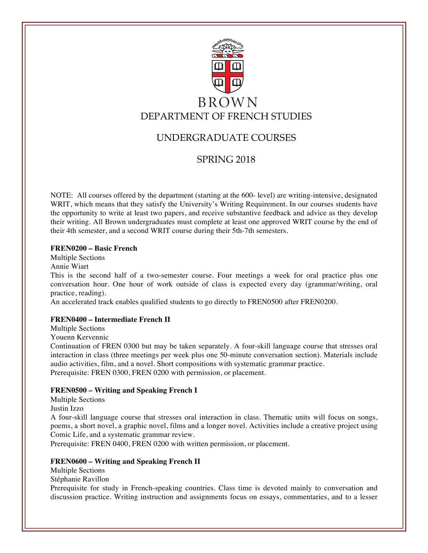

# UNDERGRADUATE COURSES

# SPRING 2018

NOTE: All courses offered by the department (starting at the 600- level) are writing-intensive, designated WRIT, which means that they satisfy the University's Writing Requirement. In our courses students have the opportunity to write at least two papers, and receive substantive feedback and advice as they develop their writing. All Brown undergraduates must complete at least one approved WRIT course by the end of their 4th semester, and a second WRIT course during their 5th-7th semesters.

# **FREN0200 – Basic French**

Multiple Sections

Annie Wiart

This is the second half of a two-semester course. Four meetings a week for oral practice plus one conversation hour. One hour of work outside of class is expected every day (grammar/writing, oral practice, reading).

An accelerated track enables qualified students to go directly to FREN0500 after FREN0200.

# **FREN0400 – Intermediate French II**

Multiple Sections

Youenn Kervennic

Continuation of FREN 0300 but may be taken separately. A four-skill language course that stresses oral interaction in class (three meetings per week plus one 50-minute conversation section). Materials include audio activities, film, and a novel. Short compositions with systematic grammar practice. Prerequisite: FREN 0300, FREN 0200 with permission, or placement.

# **FREN0500 – Writing and Speaking French I**

Multiple Sections

Justin Izzo

A four-skill language course that stresses oral interaction in class. Thematic units will focus on songs, poems, a short novel, a graphic novel, films and a longer novel. Activities include a creative project using Comic Life, and a systematic grammar review.

Prerequisite: FREN 0400, FREN 0200 with written permission, or placement.

# **FREN0600 – Writing and Speaking French II**

Multiple Sections

Stéphanie Ravillon

Prerequisite for study in French-speaking countries. Class time is devoted mainly to conversation and discussion practice. Writing instruction and assignments focus on essays, commentaries, and to a lesser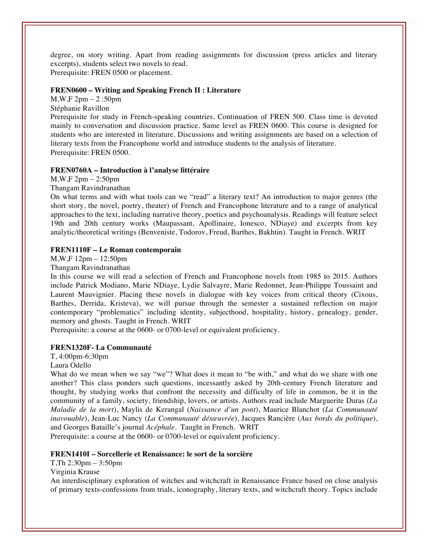degree, on story writing. Apart from reading assignments for discussion (press articles and literary excerpts), students select two novels to read. Prerequisite: FREN 0500 or placement.

#### **FREN0600 – Writing and Speaking French II : Literature**

M,W,F 2pm – 2 :50pm

Stéphanie Ravillon

Prerequisite for study in French-speaking countries. Continuation of FREN 500. Class time is devoted mainly to conversation and discussion practice. Same level as FREN 0600. This course is designed for students who are interested in literature. Discussions and writing assignments are based on a selection of literary texts from the Francophone world and introduce students to the analysis of literature. Prerequisite: FREN 0500.

#### **FREN0760A – Introduction à l'analyse littéraire**

M,W,F 2pm – 2:50pm

Thangam Ravindranathan

On what terms and with what tools can we "read" a literary text? An introduction to major genres (the short story, the novel, poetry, theater) of French and Francophone literature and to a range of analytical approaches to the text, including narrative theory, poetics and psychoanalysis. Readings will feature select 19th and 20th century works (Maupassant, Apollinaire, Ionesco, NDiaye) and excerpts from key analytic/theoretical writings (Benveniste, Todorov, Freud, Barthes, Bakhtin). Taught in French. WRIT

# **FREN1110F – Le Roman contemporain**

M,W,F 12pm – 12:50pm

Thangam Ravindranathan

In this course we will read a selection of French and Francophone novels from 1985 to 2015. Authors include Patrick Modiano, Marie NDiaye, Lydie Salvayre, Marie Redonnet, Jean-Philippe Toussaint and Laurent Mauvignier. Placing these novels in dialogue with key voices from critical theory (Cixous, Barthes, Derrida, Kristeva), we will pursue through the semester a sustained reflection on major contemporary "problematics" including identity, subjecthood, hospitality, history, genealogy, gender, memory and ghosts. Taught in French. WRIT

Prerequisite: a course at the 0600- or 0700-level or equivalent proficiency.

# **FREN1320F- La Communauté**

T, 4:00pm-6:30pm

Laura Odello

What do we mean when we say "we"? What does it mean to "be with," and what do we share with one another? This class ponders such questions, incessantly asked by 20th-century French literature and thought, by studying works that confront the necessity and difficulty of life in common, be it in the community of a family, society, friendship, lovers, or artists. Authors read include Marguerite Duras (*La Maladie de la mort*), Maylis de Kerangal (*Naissance d'un pont*), Maurice Blanchot (*La Communauté inavouable*), Jean-Luc Nancy (*La Communauté désœuvrée*), Jacques Rancière (*Aux bords du politique*), and Georges Bataille's journal *Acéphale*. Taught in French. WRIT

Prerequisite: a course at the 0600- or 0700-level or equivalent proficiency.

#### **FREN1410I – Sorcellerie et Renaissance: le sort de la sorcière**

T,Th 2:30pm – 3:50pm

Virginia Krause

An interdisciplinary exploration of witches and witchcraft in Renaissance France based on close analysis of primary texts-confessions from trials, iconography, literary texts, and witchcraft theory. Topics include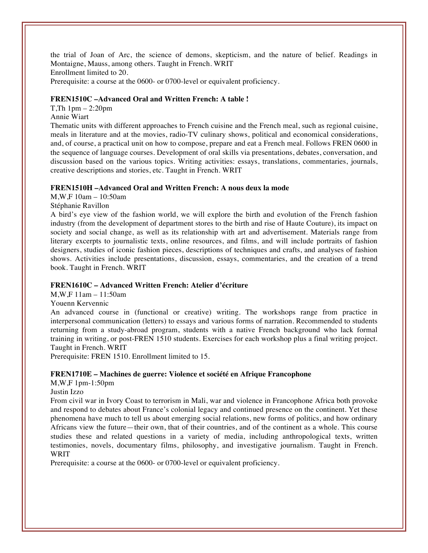the trial of Joan of Arc, the science of demons, skepticism, and the nature of belief. Readings in Montaigne, Mauss, among others. Taught in French. WRIT Enrollment limited to 20. Prerequisite: a course at the 0600- or 0700-level or equivalent proficiency.

#### **FREN1510C –Advanced Oral and Written French: A table !**

T,Th 1pm – 2:20pm

Annie Wiart

Thematic units with different approaches to French cuisine and the French meal, such as regional cuisine, meals in literature and at the movies, radio-TV culinary shows, political and economical considerations, and, of course, a practical unit on how to compose, prepare and eat a French meal. Follows FREN 0600 in the sequence of language courses. Development of oral skills via presentations, debates, conversation, and discussion based on the various topics. Writing activities: essays, translations, commentaries, journals, creative descriptions and stories, etc. Taught in French. WRIT

#### **FREN1510H –Advanced Oral and Written French: A nous deux la mode**

M,W,F 10am – 10:50am

Stéphanie Ravillon

A bird's eye view of the fashion world, we will explore the birth and evolution of the French fashion industry (from the development of department stores to the birth and rise of Haute Couture), its impact on society and social change, as well as its relationship with art and advertisement. Materials range from literary excerpts to journalistic texts, online resources, and films, and will include portraits of fashion designers, studies of iconic fashion pieces, descriptions of techniques and crafts, and analyses of fashion shows. Activities include presentations, discussion, essays, commentaries, and the creation of a trend book. Taught in French. WRIT

# **FREN1610C – Advanced Written French: Atelier d'écriture**

M,W,F 11am – 11:50am

Youenn Kervennic

An advanced course in (functional or creative) writing. The workshops range from practice in interpersonal communication (letters) to essays and various forms of narration. Recommended to students returning from a study-abroad program, students with a native French background who lack formal training in writing, or post-FREN 1510 students. Exercises for each workshop plus a final writing project. Taught in French. WRIT

Prerequisite: FREN 1510. Enrollment limited to 15.

#### **FREN1710E – Machines de guerre: Violence et société en Afrique Francophone**

M,W,F 1pm-1:50pm

Justin Izzo

From civil war in Ivory Coast to terrorism in Mali, war and violence in Francophone Africa both provoke and respond to debates about France's colonial legacy and continued presence on the continent. Yet these phenomena have much to tell us about emerging social relations, new forms of politics, and how ordinary Africans view the future—their own, that of their countries, and of the continent as a whole. This course studies these and related questions in a variety of media, including anthropological texts, written testimonies, novels, documentary films, philosophy, and investigative journalism. Taught in French. WRIT

Prerequisite: a course at the 0600- or 0700-level or equivalent proficiency.